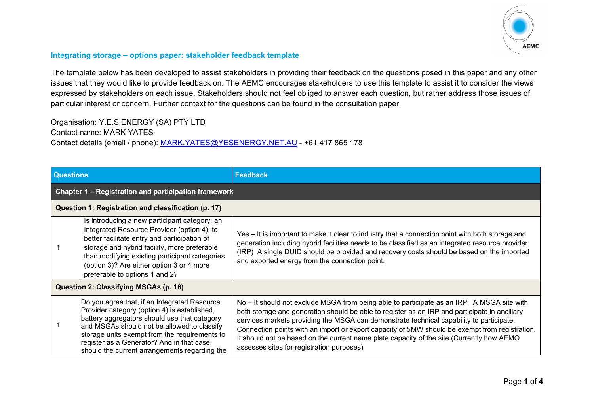

## **Integrating storage – options paper: stakeholder feedback template**

The template below has been developed to assist stakeholders in providing their feedback on the questions posed in this paper and any other issues that they would like to provide feedback on. The AEMC encourages stakeholders to use this template to assist it to consider the views expressed by stakeholders on each issue. Stakeholders should not feel obliged to answer each question, but rather address those issues of particular interest or concern. Further context for the questions can be found in the consultation paper.

Organisation: Y.E.S ENERGY (SA) PTY LTD Contact name: MARK YATES Contact details (email / phone): [MARK.YATES@YESENERGY.NET.AU](mailto:MARK.YATES@YESENERGY.NET.AU) - +61 417 865 178

| <b>Questions</b>                                            |                                                                                                                                                                                                                                                                                                                                             | <b>Feedback</b>                                                                                                                                                                                                                                                                                                                                                                                                                                                                                                                     |  |  |  |
|-------------------------------------------------------------|---------------------------------------------------------------------------------------------------------------------------------------------------------------------------------------------------------------------------------------------------------------------------------------------------------------------------------------------|-------------------------------------------------------------------------------------------------------------------------------------------------------------------------------------------------------------------------------------------------------------------------------------------------------------------------------------------------------------------------------------------------------------------------------------------------------------------------------------------------------------------------------------|--|--|--|
| <b>Chapter 1 – Registration and participation framework</b> |                                                                                                                                                                                                                                                                                                                                             |                                                                                                                                                                                                                                                                                                                                                                                                                                                                                                                                     |  |  |  |
| Question 1: Registration and classification (p. 17)         |                                                                                                                                                                                                                                                                                                                                             |                                                                                                                                                                                                                                                                                                                                                                                                                                                                                                                                     |  |  |  |
|                                                             | Is introducing a new participant category, an<br>Integrated Resource Provider (option 4), to<br>better facilitate entry and participation of<br>storage and hybrid facility, more preferable<br>than modifying existing participant categories<br>(option 3)? Are either option 3 or 4 more<br>preferable to options 1 and 2?               | Yes – It is important to make it clear to industry that a connection point with both storage and<br>generation including hybrid facilities needs to be classified as an integrated resource provider.<br>(IRP) A single DUID should be provided and recovery costs should be based on the imported<br>and exported energy from the connection point.                                                                                                                                                                                |  |  |  |
| Question 2: Classifying MSGAs (p. 18)                       |                                                                                                                                                                                                                                                                                                                                             |                                                                                                                                                                                                                                                                                                                                                                                                                                                                                                                                     |  |  |  |
|                                                             | Do you agree that, if an Integrated Resource<br>Provider category (option 4) is established,<br>battery aggregators should use that category<br>and MSGAs should not be allowed to classify<br>storage units exempt from the requirements to<br>register as a Generator? And in that case,<br>should the current arrangements regarding the | No – It should not exclude MSGA from being able to participate as an IRP. A MSGA site with<br>both storage and generation should be able to register as an IRP and participate in ancillary<br>services markets providing the MSGA can demonstrate technical capability to participate.<br>Connection points with an import or export capacity of 5MW should be exempt from registration.<br>It should not be based on the current name plate capacity of the site (Currently how AEMO<br>assesses sites for registration purposes) |  |  |  |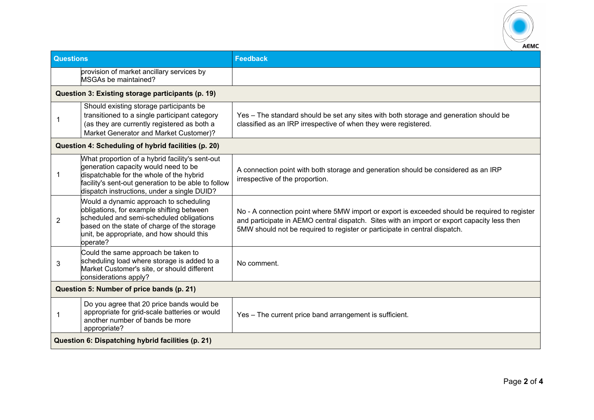

| <b>Questions</b>                                    |                                                                                                                                                                                                                                           | <b>Feedback</b>                                                                                                                                                                                                                                                            |  |  |
|-----------------------------------------------------|-------------------------------------------------------------------------------------------------------------------------------------------------------------------------------------------------------------------------------------------|----------------------------------------------------------------------------------------------------------------------------------------------------------------------------------------------------------------------------------------------------------------------------|--|--|
|                                                     | provision of market ancillary services by<br>MSGAs be maintained?                                                                                                                                                                         |                                                                                                                                                                                                                                                                            |  |  |
|                                                     | Question 3: Existing storage participants (p. 19)                                                                                                                                                                                         |                                                                                                                                                                                                                                                                            |  |  |
|                                                     | Should existing storage participants be<br>transitioned to a single participant category<br>(as they are currently registered as both a<br>Market Generator and Market Customer)?                                                         | Yes - The standard should be set any sites with both storage and generation should be<br>classified as an IRP irrespective of when they were registered.                                                                                                                   |  |  |
| Question 4: Scheduling of hybrid facilities (p. 20) |                                                                                                                                                                                                                                           |                                                                                                                                                                                                                                                                            |  |  |
|                                                     | What proportion of a hybrid facility's sent-out<br>generation capacity would need to be<br>dispatchable for the whole of the hybrid<br>facility's sent-out generation to be able to follow<br>dispatch instructions, under a single DUID? | A connection point with both storage and generation should be considered as an IRP<br>irrespective of the proportion.                                                                                                                                                      |  |  |
| 2                                                   | Would a dynamic approach to scheduling<br>obligations, for example shifting between<br>scheduled and semi-scheduled obligations<br>based on the state of charge of the storage<br>unit, be appropriate, and how should this<br>operate?   | No - A connection point where 5MW import or export is exceeded should be required to register<br>and participate in AEMO central dispatch. Sites with an import or export capacity less then<br>5MW should not be required to register or participate in central dispatch. |  |  |
| 3                                                   | Could the same approach be taken to<br>scheduling load where storage is added to a<br>Market Customer's site, or should different<br>considerations apply?                                                                                | No comment.                                                                                                                                                                                                                                                                |  |  |
| Question 5: Number of price bands (p. 21)           |                                                                                                                                                                                                                                           |                                                                                                                                                                                                                                                                            |  |  |
| 1                                                   | Do you agree that 20 price bands would be<br>appropriate for grid-scale batteries or would<br>another number of bands be more<br>appropriate?                                                                                             | Yes - The current price band arrangement is sufficient.                                                                                                                                                                                                                    |  |  |
| Question 6: Dispatching hybrid facilities (p. 21)   |                                                                                                                                                                                                                                           |                                                                                                                                                                                                                                                                            |  |  |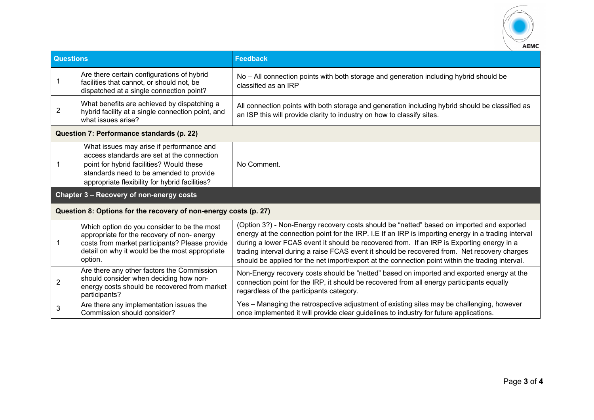

| <b>Questions</b>                                                 |                                                                                                                                                                                                                                 | <b>Feedback</b>                                                                                                                                                                                                                                                                                                                                                                                                                                                                                   |  |  |
|------------------------------------------------------------------|---------------------------------------------------------------------------------------------------------------------------------------------------------------------------------------------------------------------------------|---------------------------------------------------------------------------------------------------------------------------------------------------------------------------------------------------------------------------------------------------------------------------------------------------------------------------------------------------------------------------------------------------------------------------------------------------------------------------------------------------|--|--|
| -1                                                               | Are there certain configurations of hybrid<br>facilities that cannot, or should not, be<br>dispatched at a single connection point?                                                                                             | No - All connection points with both storage and generation including hybrid should be<br>classified as an IRP                                                                                                                                                                                                                                                                                                                                                                                    |  |  |
| 2                                                                | What benefits are achieved by dispatching a<br>hybrid facility at a single connection point, and<br>what issues arise?                                                                                                          | All connection points with both storage and generation including hybrid should be classified as<br>an ISP this will provide clarity to industry on how to classify sites.                                                                                                                                                                                                                                                                                                                         |  |  |
| Question 7: Performance standards (p. 22)                        |                                                                                                                                                                                                                                 |                                                                                                                                                                                                                                                                                                                                                                                                                                                                                                   |  |  |
| 1                                                                | What issues may arise if performance and<br>access standards are set at the connection<br>point for hybrid facilities? Would these<br>standards need to be amended to provide<br>appropriate flexibility for hybrid facilities? | No Comment.                                                                                                                                                                                                                                                                                                                                                                                                                                                                                       |  |  |
| Chapter 3 - Recovery of non-energy costs                         |                                                                                                                                                                                                                                 |                                                                                                                                                                                                                                                                                                                                                                                                                                                                                                   |  |  |
| Question 8: Options for the recovery of non-energy costs (p. 27) |                                                                                                                                                                                                                                 |                                                                                                                                                                                                                                                                                                                                                                                                                                                                                                   |  |  |
| 1                                                                | Which option do you consider to be the most<br>appropriate for the recovery of non- energy<br>costs from market participants? Please provide<br>detail on why it would be the most appropriate<br>option.                       | (Option 3?) - Non-Energy recovery costs should be "netted" based on imported and exported<br>energy at the connection point for the IRP. I.E If an IRP is importing energy in a trading interval<br>during a lower FCAS event it should be recovered from. If an IRP is Exporting energy in a<br>trading interval during a raise FCAS event it should be recovered from. Net recovery charges<br>should be applied for the net import/export at the connection point within the trading interval. |  |  |
| 2                                                                | Are there any other factors the Commission<br>should consider when deciding how non-<br>energy costs should be recovered from market<br>participants?                                                                           | Non-Energy recovery costs should be "netted" based on imported and exported energy at the<br>connection point for the IRP, it should be recovered from all energy participants equally<br>regardless of the participants category.                                                                                                                                                                                                                                                                |  |  |
| 3                                                                | Are there any implementation issues the<br>Commission should consider?                                                                                                                                                          | Yes – Managing the retrospective adjustment of existing sites may be challenging, however<br>once implemented it will provide clear guidelines to industry for future applications.                                                                                                                                                                                                                                                                                                               |  |  |